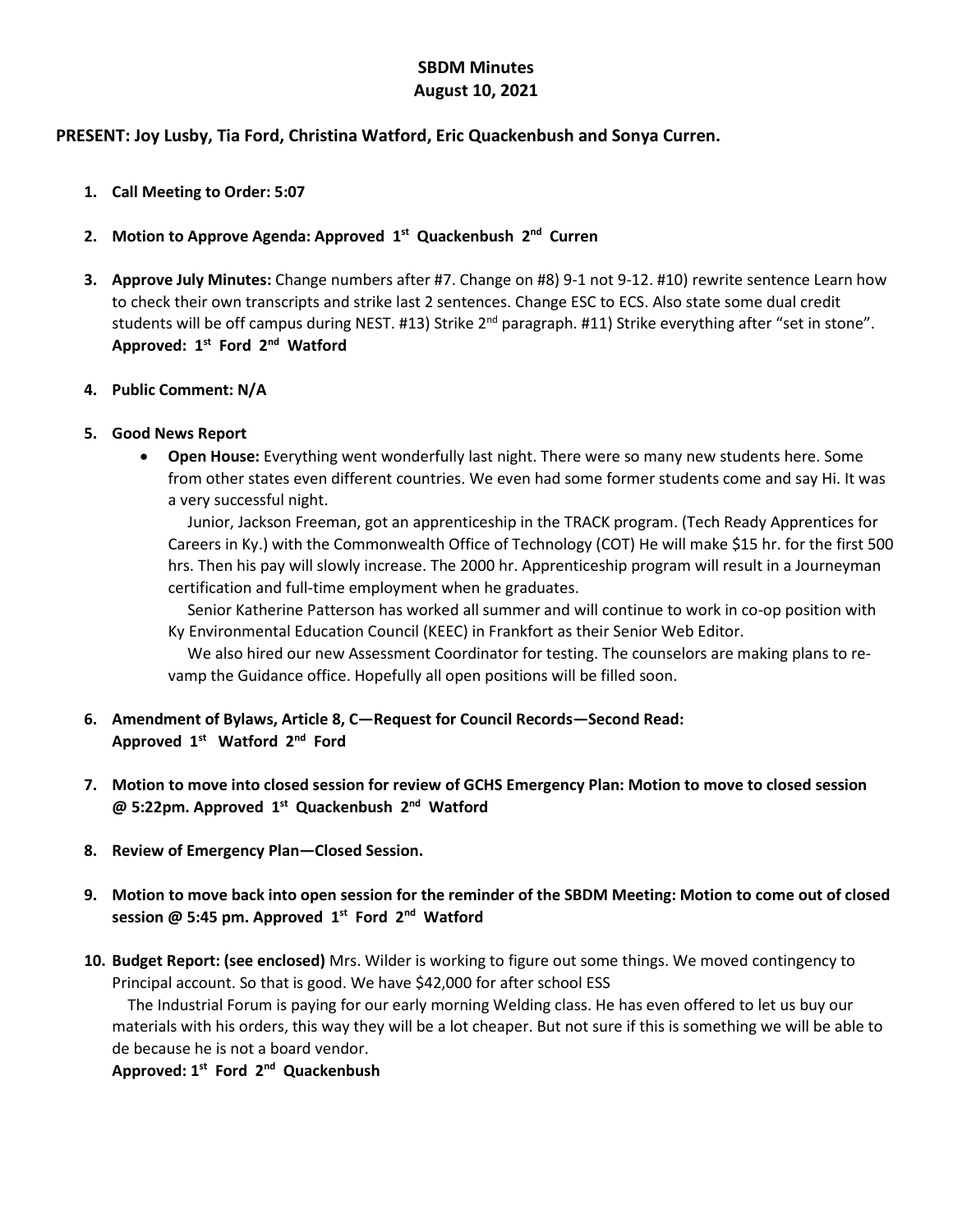## **SBDM Minutes August 10, 2021**

## **PRESENT: Joy Lusby, Tia Ford, Christina Watford, Eric Quackenbush and Sonya Curren.**

- **1. Call Meeting to Order: 5:07**
- **2. Motion to Approve Agenda: Approved 1st Quackenbush 2nd Curren**
- **3. Approve July Minutes:** Change numbers after #7. Change on #8) 9-1 not 9-12. #10) rewrite sentence Learn how to check their own transcripts and strike last 2 sentences. Change ESC to ECS. Also state some dual credit students will be off campus during NEST. #13) Strike  $2^{nd}$  paragraph. #11) Strike everything after "set in stone". **Approved: 1st Ford 2nd Watford**
- **4. Public Comment: N/A**
- **5. Good News Report**
	- **Open House:** Everything went wonderfully last night. There were so many new students here. Some from other states even different countries. We even had some former students come and say Hi. It was a very successful night.

 Junior, Jackson Freeman, got an apprenticeship in the TRACK program. (Tech Ready Apprentices for Careers in Ky.) with the Commonwealth Office of Technology (COT) He will make \$15 hr. for the first 500 hrs. Then his pay will slowly increase. The 2000 hr. Apprenticeship program will result in a Journeyman certification and full-time employment when he graduates.

 Senior Katherine Patterson has worked all summer and will continue to work in co-op position with Ky Environmental Education Council (KEEC) in Frankfort as their Senior Web Editor.

 We also hired our new Assessment Coordinator for testing. The counselors are making plans to revamp the Guidance office. Hopefully all open positions will be filled soon.

- **6. Amendment of Bylaws, Article 8, C—Request for Council Records—Second Read: Approved 1st Watford 2nd Ford**
- **7. Motion to move into closed session for review of GCHS Emergency Plan: Motion to move to closed session @ 5:22pm. Approved 1st Quackenbush 2nd Watford**
- **8. Review of Emergency Plan—Closed Session.**
- **9. Motion to move back into open session for the reminder of the SBDM Meeting: Motion to come out of closed session @ 5:45 pm. Approved 1st Ford 2nd Watford**
- **10. Budget Report: (see enclosed)** Mrs. Wilder is working to figure out some things. We moved contingency to Principal account. So that is good. We have \$42,000 for after school ESS

 The Industrial Forum is paying for our early morning Welding class. He has even offered to let us buy our materials with his orders, this way they will be a lot cheaper. But not sure if this is something we will be able to de because he is not a board vendor.

**Approved: 1st Ford 2nd Quackenbush**